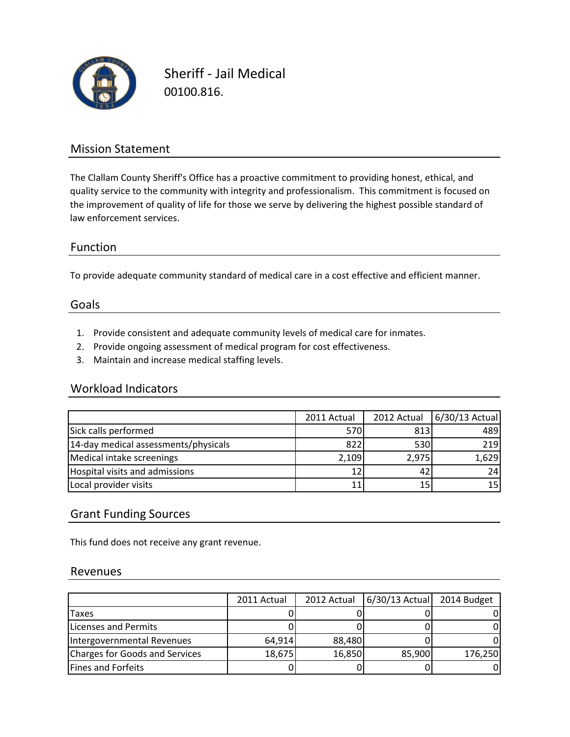

Sheriff - Jail Medical 00100.816.

## Mission Statement

The Clallam County Sheriff's Office has a proactive commitment to providing honest, ethical, and quality service to the community with integrity and professionalism. This commitment is focused on the improvement of quality of life for those we serve by delivering the highest possible standard of law enforcement services.

### Function

To provide adequate community standard of medical care in a cost effective and efficient manner.

#### Goals

- 1. Provide consistent and adequate community levels of medical care for inmates.
- 2. Provide ongoing assessment of medical program for cost effectiveness.
- 3. Maintain and increase medical staffing levels.

### Workload Indicators

|                                      | 2011 Actual | 2012 Actual | 6/30/13 Actual |
|--------------------------------------|-------------|-------------|----------------|
| Sick calls performed                 | 570         | 813         | 489            |
| 14-day medical assessments/physicals | 822         | 530         | 219            |
| Medical intake screenings            | 2,109       | 2,975       | 1,629          |
| Hospital visits and admissions       | 12          |             | 24             |
| Local provider visits                |             |             | 15I            |

### Grant Funding Sources

This fund does not receive any grant revenue.

#### Revenues

|                                | 2011 Actual | 2012 Actual | $6/30/13$ Actual | 2014 Budget |
|--------------------------------|-------------|-------------|------------------|-------------|
| <b>Taxes</b>                   |             |             |                  |             |
| Licenses and Permits           |             |             |                  |             |
| Intergovernmental Revenues     | 64,914      | 88,480      |                  |             |
| Charges for Goods and Services | 18,675      | 16,850      | 85,900           | 176,250     |
| Fines and Forfeits             |             |             |                  |             |